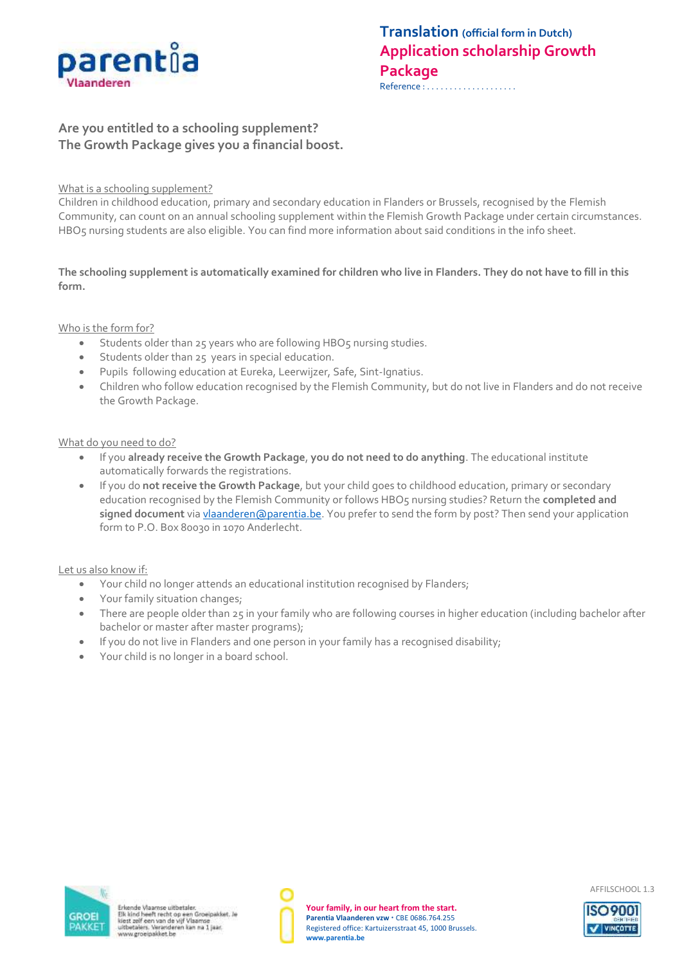

# **Are you entitled to a schooling supplement? The Growth Package gives you a financial boost.**

#### What is a schooling supplement?

Children in childhood education, primary and secondary education in Flanders or Brussels, recognised by the Flemish Community, can count on an annual schooling supplement within the Flemish Growth Package under certain circumstances. HBO5 nursing students are also eligible. You can find more information about said conditions in the info sheet.

#### **The schooling supplement is automatically examined for children who live in Flanders. They do not have to fill in this form.**

#### Who is the form for?

- Students older than 25 years who are following HBO5 nursing studies.
- Students older than 25 years in special education.
- Pupils following education at Eureka, Leerwijzer, Safe, Sint-Ignatius.
- Children who follow education recognised by the Flemish Community, but do not live in Flanders and do not receive the Growth Package.

#### What do you need to do?

- If you **already receive the Growth Package**, **you do not need to do anything**. The educational institute automatically forwards the registrations.
- If you do **not receive the Growth Package**, but your child goes to childhood education, primary or secondary education recognised by the Flemish Community or follows HBO5 nursing studies? Return the **completed and signed document** vi[a vlaanderen@parentia.be.](mailto:vlaanderen@parentia.be) You prefer to send the form by post? Then send your application form to P.O. Box 80030 in 1070 Anderlecht.

#### Let us also know if:

- Your child no longer attends an educational institution recognised by Flanders;
- Your family situation changes;
- There are people older than 25 in your family who are following courses in higher education (including bachelor after bachelor or master after master programs);
- If you do not live in Flanders and one person in your family has a recognised disability;
- Your child is no longer in a board school.





**Your family, in our heart from the start.** Parentia Vlaanderen vzw · CBE 0686.764.255 Registered office: Kartuizersstraat 45, 1000 Brussels. **[www.parentia.be](http://www.parentia.be/)**



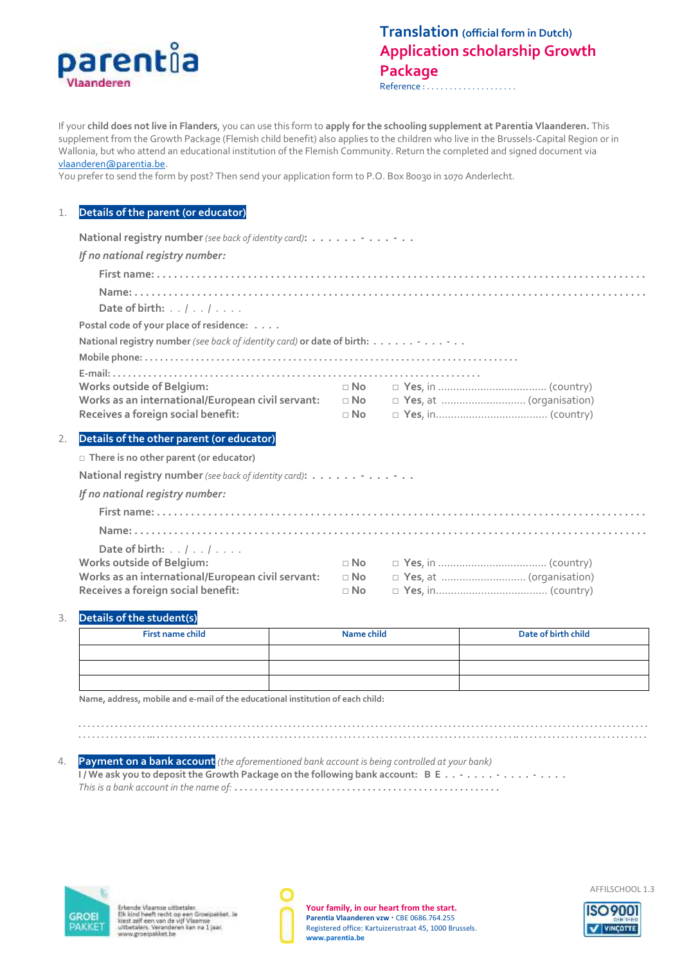

Reference : . . . . . . . . . . . . . . . . . . . .

If your **child does not live in Flanders**, you can use this form to **apply for the schooling supplement at Parentia Vlaanderen.** This supplement from the Growth Package (Flemish child benefit) also applies to the children who live in the Brussels-Capital Region or in Wallonia, but who attend an educational institution of the Flemish Community. Return the completed and signed document via [vlaanderen@parentia.be.](mailto:vlaanderen@parentia.be)

You prefer to send the form by post? Then send your application form to P.O. Box 80030 in 1070 Anderlecht.

#### 1. **Details of the parent (or educator)**

|    | <b>National registry number</b> (see back of identity card): $\ldots$ , $\ldots$ , $\ldots$ , $\ldots$ ,<br>If no national registry number:                                    |                                                              |  |  |  |
|----|--------------------------------------------------------------------------------------------------------------------------------------------------------------------------------|--------------------------------------------------------------|--|--|--|
|    |                                                                                                                                                                                |                                                              |  |  |  |
|    |                                                                                                                                                                                |                                                              |  |  |  |
|    |                                                                                                                                                                                |                                                              |  |  |  |
|    | Date of birth: $\ldots$ / $\ldots$ / $\ldots$ .                                                                                                                                |                                                              |  |  |  |
|    | Postal code of your place of residence:                                                                                                                                        |                                                              |  |  |  |
|    | National registry number (see back of identity card) or date of birth: $\dots \dots \dots \dots$                                                                               |                                                              |  |  |  |
|    |                                                                                                                                                                                |                                                              |  |  |  |
|    | <b>Works outside of Belgium:</b><br>Works as an international/European civil servant:<br>Receives a foreign social benefit:                                                    | $\sqcap$ No $\sqcap$<br>$\sqcap$ No $\sqcap$<br>$\sqcap$ No. |  |  |  |
| 2. | Details of the other parent (or educator)                                                                                                                                      |                                                              |  |  |  |
|    | $\Box$ There is no other parent (or educator)                                                                                                                                  |                                                              |  |  |  |
|    | National registry number (see back of identity card):<br>If no national registry number:                                                                                       |                                                              |  |  |  |
|    |                                                                                                                                                                                |                                                              |  |  |  |
|    |                                                                                                                                                                                |                                                              |  |  |  |
|    |                                                                                                                                                                                |                                                              |  |  |  |
|    | Date of birth: $\ldots$ / $\ldots$ / $\ldots$ .<br><b>Works outside of Belgium:</b><br>Works as an international/European civil servant:<br>Receives a foreign social benefit: | $\Box$ No<br>$\sqcap$ No<br>$\sqcap$ No                      |  |  |  |

#### 3. **Details of the student(s)**

| First name child | Name child | Date of birth child |
|------------------|------------|---------------------|
|                  |            |                     |
|                  |            |                     |
|                  |            |                     |

**Name, address, mobile and e-mail of the educational institution of each child:**

**. . . . . . . . . . . . . . . ... . . . . . . . . . . . . . . . . . . . . . . . . . . . . . . . . . . . . . . . . . . . . . . . . . . . . . . . . . . . . . . . . . . . . . . . . . . . . . . .. . . . . . . . . . . . . . . . . . . . . . . . . . . . .** 4. **Payment on a bank account** *(the aforementioned bank account is being controlled at your bank)*

**I/We ask you to deposit the Growth Package on the following bank account: BE... - . . . . . . . . . . . . .** *This is a bank account in the name of:* **. . . . . . . . . . . . . . . . . . . . . . . . . . . . . . . . . . . . . . . . . . . . . . . . . . . .**





**Your family, in our heart from the start.** Parentia Vlaanderen vzw · CBE 0686.764.255 Registered office: Kartuizersstraat 45, 1000 Brussels. **[www.parentia.be](http://www.parentia.be/)**

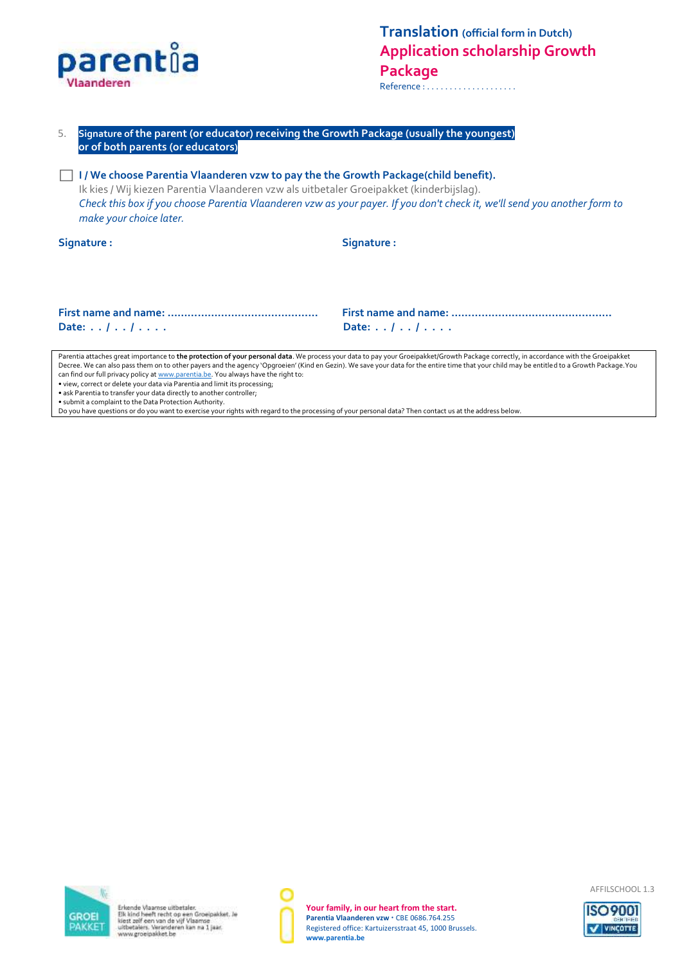

5. **Signature of the parent (or educator) receiving the Growth Package (usually the youngest) or of both parents (or educators)**  □**I / We choose Parentia Vlaanderen vzw to pay the the Growth Package(child benefit).** Ik kies / Wij kiezen Parentia Vlaanderen vzw als uitbetaler Groeipakket (kinderbijslag). *Check this box if you choose Parentia Vlaanderen vzw as your payer. If you don't check it, we'll send you another form to make your choice later.* **Signature : Signature : First name and name: ……………………………………… First name and name: ………………………………………… Date: . . / . . / . . . . Date: . . / . . / . . . .** 

Parentia attaches great importance to **the protection of your personal data**. We process your data to pay your Groeipakket/Growth Package correctly, in accordance with the Groeipakket Decree. We can also pass them on to other payers and the agency 'Opgroeien' (Kind en Gezin). We save your data for the entire time that your child may be entitled to a Growth Package.You can find our full privacy policy a[t www.parentia.be.](http://www.parentia.be/) You always have the right to:

• view, correct or delete your data via Parentia and limit its processing;

• ask Parentia to transfer your data directly to another controller; • submit a complaint to the Data Protection Authority.

Do you have questions or do you want to exercise your rights with regard to the processing of your personal data? Then contact us at the address below.





**Your family, in our heart from the start.** Parentia Vlaanderen vzw · CBE 0686.764.255 Registered office: Kartuizersstraat 45, 1000 Brussels. **[www.parentia.be](http://www.parentia.be/)**

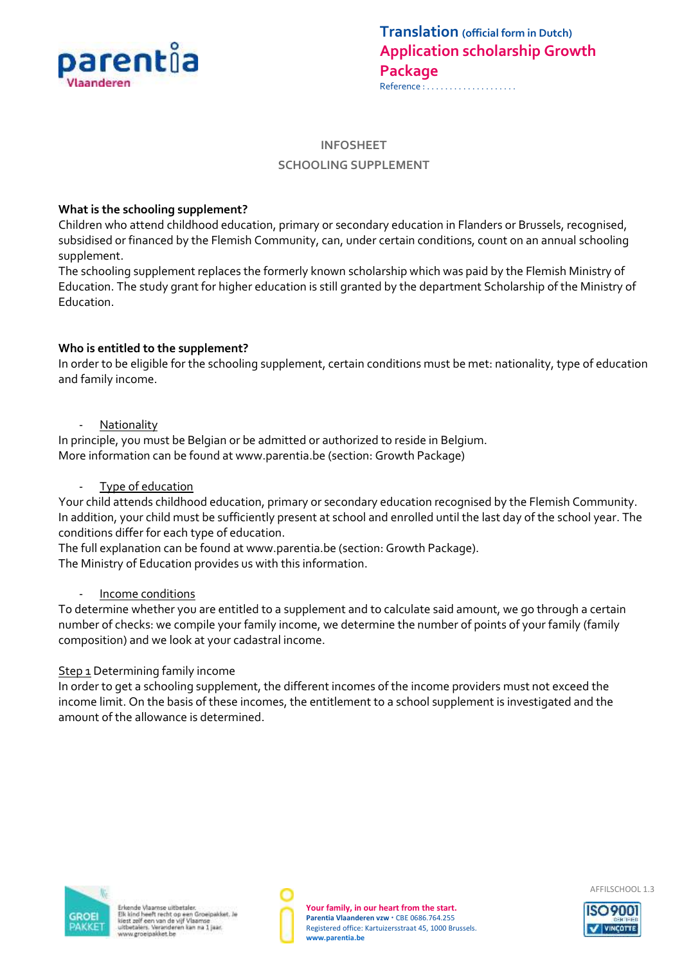

## **INFOSHEET**

## **SCHOOLING SUPPLEMENT**

## **What is the schooling supplement?**

Children who attend childhood education, primary or secondary education in Flanders or Brussels, recognised, subsidised or financed by the Flemish Community, can, under certain conditions, count on an annual schooling supplement.

The schooling supplement replaces the formerly known scholarship which was paid by the Flemish Ministry of Education. The study grant for higher education is still granted by the department Scholarship of the Ministry of Education.

# **Who is entitled to the supplement?**

In order to be eligible for the schooling supplement, certain conditions must be met: nationality, type of education and family income.

## **Nationality**

In principle, you must be Belgian or be admitted or authorized to reside in Belgium. More information can be found at www.parentia.be (section: Growth Package)

## Type of education

Your child attends childhood education, primary or secondary education recognised by the Flemish Community. In addition, your child must be sufficiently present at school and enrolled until the last day of the school year. The conditions differ for each type of education.

The full explanation can be found at www.parentia.be (section: Growth Package). The Ministry of Education provides us with this information.

## Income conditions

To determine whether you are entitled to a supplement and to calculate said amount, we go through a certain number of checks: we compile your family income, we determine the number of points of your family (family composition) and we look at your cadastral income.

## Step 1 Determining family income

In order to get a schooling supplement, the different incomes of the income providers must not exceed the income limit. On the basis of these incomes, the entitlement to a school supplement is investigated and the amount of the allowance is determined.





**Your family, in our heart from the start.** Parentia Vlaanderen vzw · CBE 0686.764.255 Registered office: Kartuizersstraat 45, 1000 Brussels. **[www.parentia.be](http://www.parentia.be/)**

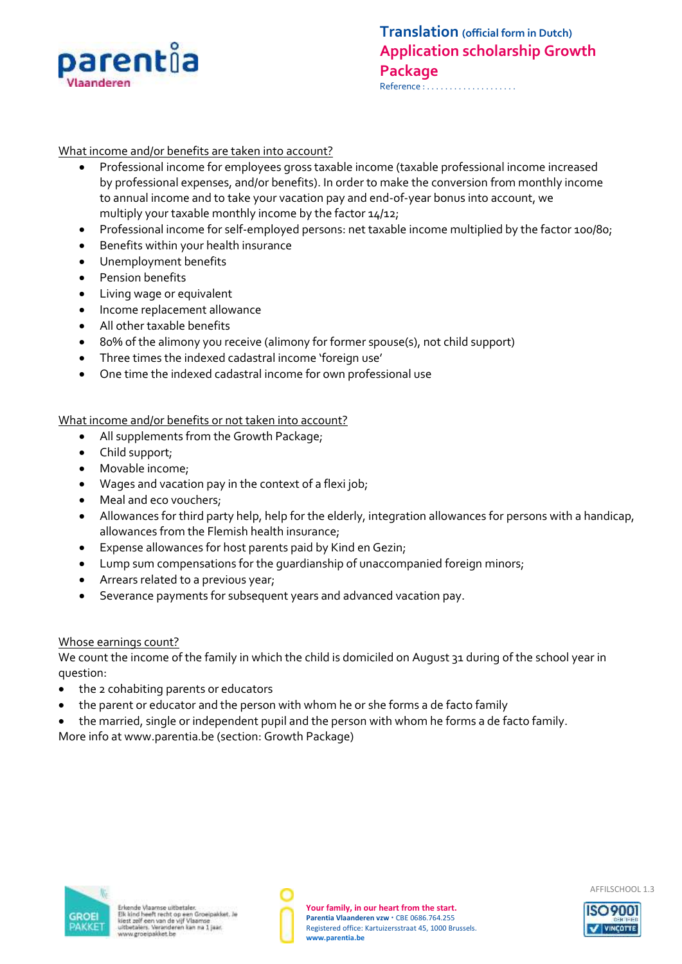

What income and/or benefits are taken into account?

- Professional income for employees gross taxable income (taxable professional income increased by professional expenses, and/or benefits). In order to make the conversion from monthly income to annual income and to take your vacation pay and end-of-year bonus into account, we multiply your taxable monthly income by the factor 14/12;
- Professional income for self-employed persons: net taxable income multiplied by the factor 100/80;
- Benefits within your health insurance
- Unemployment benefits
- Pension benefits
- Living wage or equivalent
- Income replacement allowance
- All other taxable benefits
- 80% of the alimony you receive (alimony for former spouse(s), not child support)
- Three times the indexed cadastral income 'foreign use'
- One time the indexed cadastral income for own professional use

What income and/or benefits or not taken into account?

- All supplements from the Growth Package;
- Child support;
- Movable income;
- Wages and vacation pay in the context of a flexi job;
- Meal and eco vouchers;
- Allowances for third party help, help for the elderly, integration allowances for persons with a handicap, allowances from the Flemish health insurance;
- Expense allowances for host parents paid by Kind en Gezin;
- Lump sum compensations for the guardianship of unaccompanied foreign minors;
- Arrears related to a previous year;
- Severance payments for subsequent years and advanced vacation pay.

#### Whose earnings count?

We count the income of the family in which the child is domiciled on August 31 during of the school year in question:

- the 2 cohabiting parents or educators
- the parent or educator and the person with whom he or she forms a de facto family
- the married, single or independent pupil and the person with whom he forms a de facto family.

More info at www.parentia.be (section: Growth Package)







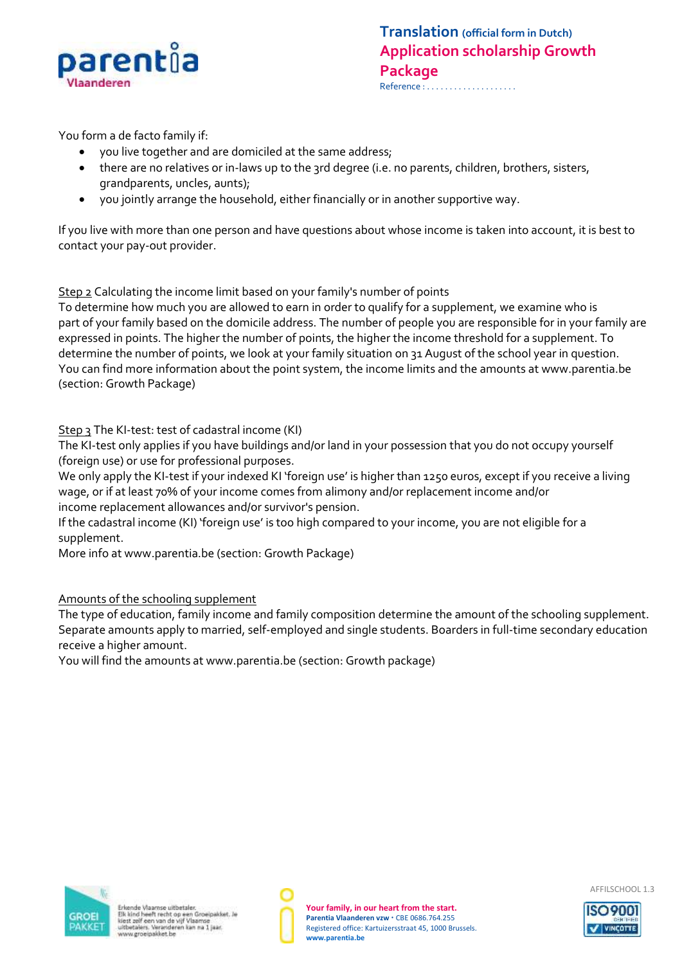

You form a de facto family if:

- you live together and are domiciled at the same address;
- there are no relatives or in-laws up to the 3rd degree (i.e. no parents, children, brothers, sisters, grandparents, uncles, aunts);
- you jointly arrange the household, either financially or in another supportive way.

If you live with more than one person and have questions about whose income is taken into account, it is best to contact your pay-out provider.

## Step 2 Calculating the income limit based on your family's number of points

To determine how much you are allowed to earn in order to qualify for a supplement, we examine who is part of your family based on the domicile address. The number of people you are responsible for in your family are expressed in points. The higher the number of points, the higher the income threshold for a supplement. To determine the number of points, we look at your family situation on 31 August of the school year in question. You can find more information about the point system, the income limits and the amounts at www.parentia.be (section: Growth Package)

Step 3 The KI-test: test of cadastral income (KI)

The KI-test only applies if you have buildings and/or land in your possession that you do not occupy yourself (foreign use) or use for professional purposes.

We only apply the KI-test if your indexed KI 'foreign use' is higher than 1250 euros, except if you receive a living wage, or if at least 70% of your income comes from alimony and/or replacement income and/or income replacement allowances and/or survivor's pension.

If the cadastral income (KI) 'foreign use' is too high compared to your income, you are not eligible for a supplement.

More info at www.parentia.be (section: Growth Package)

Amounts of the schooling supplement

The type of education, family income and family composition determine the amount of the schooling supplement. Separate amounts apply to married, self-employed and single students. Boarders in full-time secondary education receive a higher amount.

You will find the amounts at www.parentia.be (section: Growth package)